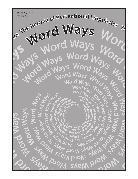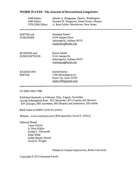## **WORD WAYS® The Journal of Recreational Linguistics**

| 1968 Editor:      | Dimitri A. Borgmann, Dayton, Washington |
|-------------------|-----------------------------------------|
| 1969 Editor:      | Howard W. Bergerson, Sweet Home, Oregon |
| 1970-2006 Editor: | A. Ross Eckler, Morristown, New Jersey  |

EDITOR and **PUBLISHER**  Jeremiah Farrell 9144 Aintree Drive Indianapolis, Indiana 46250 wordways@butler.edu

**BUSINESS** and **SUBSCRIPTIONS** 

Karen Farrell 9144 Aintree Dr. Indianapolis, Indiana 46250 wordways@butler.edu

**KICKSHAWS** EDITOR .

David Morice 1304 Bloomington St. Iowa City, Iowa 52240  $drabc1946$ @gmail.com

**US ISSN 0043-7980** 

Published Quarterly in February, May, August, November Annual Subscription Rate: \$33 (domestic), \$35 (Canada and Mexico), \$45 (Europe), \$60 elsewhere, \$60 libraries and institutions, \$20 online

Back issues available (write for prices)

Website: www.wordways.com (Web specialist, David S. Dillon)

**Editorial Board:** 

Lacey Echols A. Ross Eckler Kirstin L. Ellsworth Katie Mohr Judith Harper Morrel David D. Wright

### Printed at Campus Impressions, Butler University

Copyright © 2014 Jeremiah Farrell